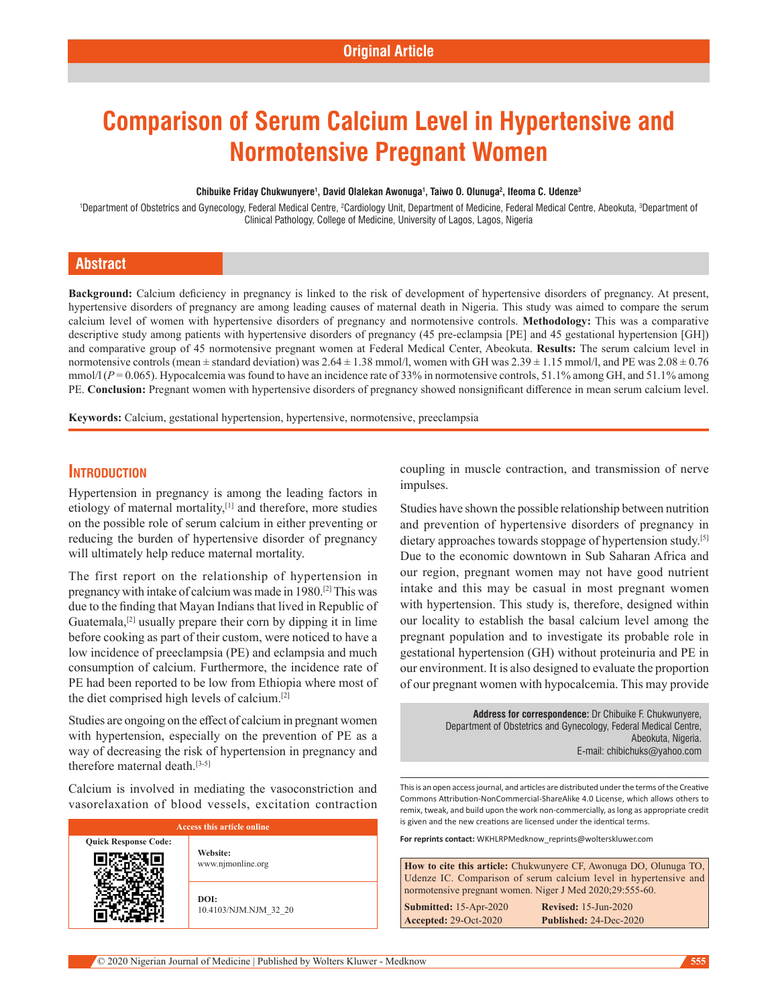# **Comparison of Serum Calcium Level in Hypertensive and Normotensive Pregnant Women**

#### **Chibuike Friday Chukwunyere1 , David Olalekan Awonuga1 , Taiwo O. Olunuga2 , Ifeoma C. Udenze3**

<sup>1</sup>Department of Obstetrics and Gynecology, Federal Medical Centre, <sup>2</sup>Cardiology Unit, Department of Medicine, Federal Medical Centre, Abeokuta, <sup>3</sup>Department of Clinical Pathology, College of Medicine, University of Lagos, Lagos, Nigeria

### **Abstract**

**Background:** Calcium deficiency in pregnancy is linked to the risk of development of hypertensive disorders of pregnancy. At present, hypertensive disorders of pregnancy are among leading causes of maternal death in Nigeria. This study was aimed to compare the serum calcium level of women with hypertensive disorders of pregnancy and normotensive controls. **Methodology:** This was a comparative descriptive study among patients with hypertensive disorders of pregnancy (45 pre‑eclampsia [PE] and 45 gestational hypertension [GH]) and comparative group of 45 normotensive pregnant women at Federal Medical Center, Abeokuta. **Results:** The serum calcium level in normotensive controls (mean  $\pm$  standard deviation) was  $2.64 \pm 1.38$  mmol/l, women with GH was  $2.39 \pm 1.15$  mmol/l, and PE was  $2.08 \pm 0.76$ mmol/l  $(P = 0.065)$ . Hypocalcemia was found to have an incidence rate of 33% in normotensive controls, 51.1% among GH, and 51.1% among PE. **Conclusion:** Pregnant women with hypertensive disorders of pregnancy showed nonsignificant difference in mean serum calcium level.

**Keywords:** Calcium, gestational hypertension, hypertensive, normotensive, preeclampsia

#### **Introduction**

Hypertension in pregnancy is among the leading factors in etiology of maternal mortality,<sup>[1]</sup> and therefore, more studies on the possible role of serum calcium in either preventing or reducing the burden of hypertensive disorder of pregnancy will ultimately help reduce maternal mortality.

The first report on the relationship of hypertension in pregnancy with intake of calcium was made in 1980.[2] This was due to the finding that Mayan Indians that lived in Republic of Guatemala,<sup>[2]</sup> usually prepare their corn by dipping it in lime before cooking as part of their custom, were noticed to have a low incidence of preeclampsia (PE) and eclampsia and much consumption of calcium. Furthermore, the incidence rate of PE had been reported to be low from Ethiopia where most of the diet comprised high levels of calcium.[2]

Studies are ongoing on the effect of calcium in pregnant women with hypertension, especially on the prevention of PE as a way of decreasing the risk of hypertension in pregnancy and therefore maternal death.[3-5]

Calcium is involved in mediating the vasoconstriction and vasorelaxation of blood vessels, excitation contraction

| Access this article online  |                               |  |
|-----------------------------|-------------------------------|--|
| <b>Quick Response Code:</b> | Website:<br>www.njmonline.org |  |
|                             | DOI:<br>10.4103/NJM.NJM 32 20 |  |

coupling in muscle contraction, and transmission of nerve impulses.

Studies have shown the possible relationship between nutrition and prevention of hypertensive disorders of pregnancy in dietary approaches towards stoppage of hypertension study.<sup>[5]</sup> Due to the economic downtown in Sub Saharan Africa and our region, pregnant women may not have good nutrient intake and this may be casual in most pregnant women with hypertension. This study is, therefore, designed within our locality to establish the basal calcium level among the pregnant population and to investigate its probable role in gestational hypertension (GH) without proteinuria and PE in our environment. It is also designed to evaluate the proportion of our pregnant women with hypocalcemia. This may provide

> **Address for correspondence:** Dr Chibuike F. Chukwunyere, Department of Obstetrics and Gynecology, Federal Medical Centre, Abeokuta, Nigeria. E-mail: chibichuks@yahoo.com

This is an open access journal, and articles are distributed under the terms of the Creative Commons Attribution‑NonCommercial‑ShareAlike 4.0 License, which allows others to remix, tweak, and build upon the work non‑commercially, as long as appropriate credit is given and the new creations are licensed under the identical terms.

**For reprints contact:** WKHLRPMedknow\_reprints@wolterskluwer.com

**How to cite this article:** Chukwunyere CF, Awonuga DO, Olunuga TO, Udenze IC. Comparison of serum calcium level in hypertensive and normotensive pregnant women. Niger J Med 2020;29:555-60. **Submitted:** 15‑Apr‑2020 **Revised:** 15-Jun-2020

**Accepted:** 29-Oct-2020 **Published:** 24-Dec-2020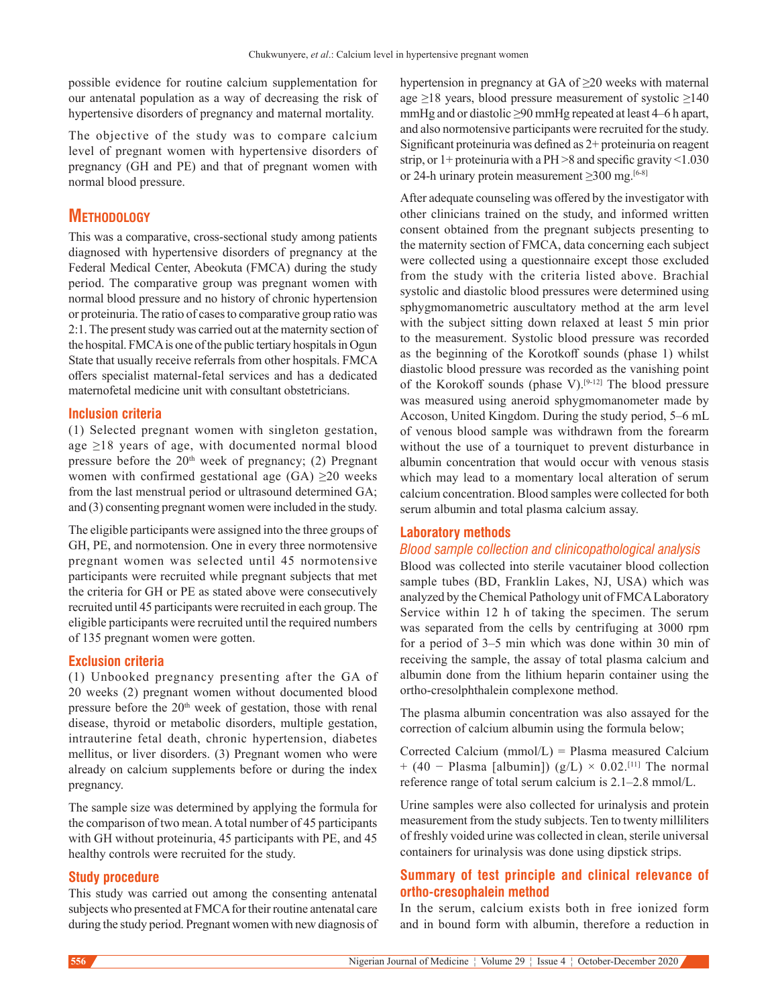possible evidence for routine calcium supplementation for our antenatal population as a way of decreasing the risk of hypertensive disorders of pregnancy and maternal mortality.

The objective of the study was to compare calcium level of pregnant women with hypertensive disorders of pregnancy (GH and PE) and that of pregnant women with normal blood pressure.

# **Methodology**

This was a comparative, cross-sectional study among patients diagnosed with hypertensive disorders of pregnancy at the Federal Medical Center, Abeokuta (FMCA) during the study period. The comparative group was pregnant women with normal blood pressure and no history of chronic hypertension or proteinuria. The ratio of cases to comparative group ratio was 2:1. The present study was carried out at the maternity section of the hospital. FMCA is one of the public tertiary hospitals in Ogun State that usually receive referrals from other hospitals. FMCA offers specialist maternal‑fetal services and has a dedicated maternofetal medicine unit with consultant obstetricians.

#### **Inclusion criteria**

(1) Selected pregnant women with singleton gestation, age ≥18 years of age, with documented normal blood pressure before the  $20<sup>th</sup>$  week of pregnancy; (2) Pregnant women with confirmed gestational age  $(GA) \geq 20$  weeks from the last menstrual period or ultrasound determined GA; and (3) consenting pregnant women were included in the study.

The eligible participants were assigned into the three groups of GH, PE, and normotension. One in every three normotensive pregnant women was selected until 45 normotensive participants were recruited while pregnant subjects that met the criteria for GH or PE as stated above were consecutively recruited until 45 participants were recruited in each group. The eligible participants were recruited until the required numbers of 135 pregnant women were gotten.

#### **Exclusion criteria**

(1) Unbooked pregnancy presenting after the GA of 20 weeks (2) pregnant women without documented blood pressure before the  $20<sup>th</sup>$  week of gestation, those with renal disease, thyroid or metabolic disorders, multiple gestation, intrauterine fetal death, chronic hypertension, diabetes mellitus, or liver disorders. (3) Pregnant women who were already on calcium supplements before or during the index pregnancy.

The sample size was determined by applying the formula for the comparison of two mean. Atotal number of 45 participants with GH without proteinuria, 45 participants with PE, and 45 healthy controls were recruited for the study.

#### **Study procedure**

This study was carried out among the consenting antenatal subjects who presented at FMCA for their routine antenatal care during the study period. Pregnant women with new diagnosis of hypertension in pregnancy at GA of ≥20 weeks with maternal age ≥18 years, blood pressure measurement of systolic ≥140 mmHg and or diastolic ≥90 mmHg repeated at least 4–6 h apart, and also normotensive participants were recruited for the study. Significant proteinuria was defined as 2+ proteinuria on reagent strip, or 1+ proteinuria with a PH >8 and specific gravity <1.030 or 24-h urinary protein measurement  $\geq$ 300 mg.<sup>[6-8]</sup>

After adequate counseling was offered by the investigator with other clinicians trained on the study, and informed written consent obtained from the pregnant subjects presenting to the maternity section of FMCA, data concerning each subject were collected using a questionnaire except those excluded from the study with the criteria listed above. Brachial systolic and diastolic blood pressures were determined using sphygmomanometric auscultatory method at the arm level with the subject sitting down relaxed at least 5 min prior to the measurement. Systolic blood pressure was recorded as the beginning of the Korotkoff sounds (phase 1) whilst diastolic blood pressure was recorded as the vanishing point of the Korokoff sounds (phase V).[9-12] The blood pressure was measured using aneroid sphygmomanometer made by Accoson, United Kingdom. During the study period, 5–6 mL of venous blood sample was withdrawn from the forearm without the use of a tourniquet to prevent disturbance in albumin concentration that would occur with venous stasis which may lead to a momentary local alteration of serum calcium concentration. Blood samples were collected for both serum albumin and total plasma calcium assay.

#### **Laboratory methods**

#### *Blood sample collection and clinicopathological analysis*

Blood was collected into sterile vacutainer blood collection sample tubes (BD, Franklin Lakes, NJ, USA) which was analyzed by the Chemical Pathology unit of FMCA Laboratory Service within 12 h of taking the specimen. The serum was separated from the cells by centrifuging at 3000 rpm for a period of 3–5 min which was done within 30 min of receiving the sample, the assay of total plasma calcium and albumin done from the lithium heparin container using the ortho‑cresolphthalein complexone method.

The plasma albumin concentration was also assayed for the correction of calcium albumin using the formula below;

Corrected Calcium ( $mmol/L$ ) = Plasma measured Calcium + (40 – Plasma [albumin]) (g/L) × 0.02.<sup>[11]</sup> The normal reference range of total serum calcium is 2.1–2.8 mmol/L.

Urine samples were also collected for urinalysis and protein measurement from the study subjects. Ten to twenty milliliters of freshly voided urine was collected in clean, sterile universal containers for urinalysis was done using dipstick strips.

### **Summary of test principle and clinical relevance of ortho-cresophalein method**

In the serum, calcium exists both in free ionized form and in bound form with albumin, therefore a reduction in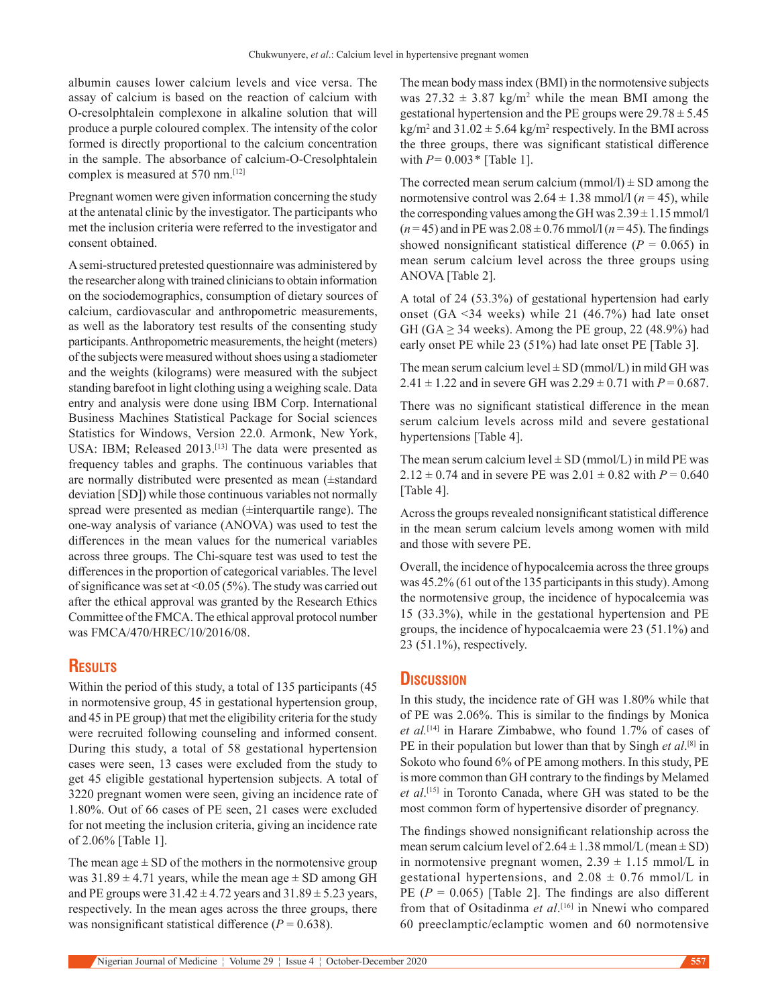albumin causes lower calcium levels and vice versa. The assay of calcium is based on the reaction of calcium with O‑cresolphtalein complexone in alkaline solution that will produce a purple coloured complex. The intensity of the color formed is directly proportional to the calcium concentration in the sample. The absorbance of calcium-O-Cresolphtalein complex is measured at 570 nm.[12]

Pregnant women were given information concerning the study at the antenatal clinic by the investigator. The participants who met the inclusion criteria were referred to the investigator and consent obtained.

A semi‑structured pretested questionnaire was administered by the researcher along with trained clinicians to obtain information on the sociodemographics, consumption of dietary sources of calcium, cardiovascular and anthropometric measurements, as well as the laboratory test results of the consenting study participants. Anthropometric measurements, the height (meters) of the subjects were measured without shoes using a stadiometer and the weights (kilograms) were measured with the subject standing barefoot in light clothing using a weighing scale. Data entry and analysis were done using IBM Corp. International Business Machines Statistical Package for Social sciences Statistics for Windows, Version 22.0. Armonk, New York, USA: IBM; Released 2013.<sup>[13]</sup> The data were presented as frequency tables and graphs. The continuous variables that are normally distributed were presented as mean (±standard deviation [SD]) while those continuous variables not normally spread were presented as median (±interquartile range). The one‑way analysis of variance (ANOVA) was used to test the differences in the mean values for the numerical variables across three groups. The Chi‑square test was used to test the differences in the proportion of categorical variables. The level of significance was set at <0.05 (5%). The study was carried out after the ethical approval was granted by the Research Ethics Committee of the FMCA. The ethical approval protocol number was FMCA/470/HREC/10/2016/08.

## **Results**

Within the period of this study, a total of 135 participants (45 in normotensive group, 45 in gestational hypertension group, and 45 in PE group) that met the eligibility criteria for the study were recruited following counseling and informed consent. During this study, a total of 58 gestational hypertension cases were seen, 13 cases were excluded from the study to get 45 eligible gestational hypertension subjects. A total of 3220 pregnant women were seen, giving an incidence rate of 1.80%. Out of 66 cases of PE seen, 21 cases were excluded for not meeting the inclusion criteria, giving an incidence rate of 2.06% [Table 1].

The mean age  $\pm$  SD of the mothers in the normotensive group was  $31.89 \pm 4.71$  years, while the mean age  $\pm$  SD among GH and PE groups were  $31.42 \pm 4.72$  years and  $31.89 \pm 5.23$  years, respectively. In the mean ages across the three groups, there was nonsignificant statistical difference  $(P = 0.638)$ .

The mean body mass index (BMI) in the normotensive subjects was  $27.32 \pm 3.87$  kg/m<sup>2</sup> while the mean BMI among the gestational hypertension and the PE groups were  $29.78 \pm 5.45$  $\text{kg/m}^2$  and  $31.02 \pm 5.64 \text{ kg/m}^2$  respectively. In the BMI across the three groups, there was significant statistical difference with  $P = 0.003 *$  [Table 1].

The corrected mean serum calcium (mmol/l)  $\pm$  SD among the normotensive control was  $2.64 \pm 1.38$  mmol/l ( $n = 45$ ), while the corresponding values among the GH was  $2.39 \pm 1.15$  mmol/l  $(n=45)$  and in PE was  $2.08 \pm 0.76$  mmol/l  $(n=45)$ . The findings showed nonsignificant statistical difference ( $P = 0.065$ ) in mean serum calcium level across the three groups using ANOVA [Table 2].

A total of 24 (53.3%) of gestational hypertension had early onset (GA <34 weeks) while 21 (46.7%) had late onset GH (GA  $\geq$  34 weeks). Among the PE group, 22 (48.9%) had early onset PE while 23 (51%) had late onset PE [Table 3].

The mean serum calcium level  $\pm$  SD (mmol/L) in mild GH was 2.41  $\pm$  1.22 and in severe GH was  $2.29 \pm 0.71$  with  $P = 0.687$ .

There was no significant statistical difference in the mean serum calcium levels across mild and severe gestational hypertensions [Table 4].

The mean serum calcium level  $\pm$  SD (mmol/L) in mild PE was 2.12  $\pm$  0.74 and in severe PE was 2.01  $\pm$  0.82 with *P* = 0.640 [Table 4].

Across the groups revealed nonsignificant statistical difference in the mean serum calcium levels among women with mild and those with severe PE.

Overall, the incidence of hypocalcemia across the three groups was 45.2% (61 out of the 135 participants in this study). Among the normotensive group, the incidence of hypocalcemia was 15 (33.3%), while in the gestational hypertension and PE groups, the incidence of hypocalcaemia were 23 (51.1%) and 23 (51.1%), respectively.

#### **Discussion**

In this study, the incidence rate of GH was 1.80% while that of PE was 2.06%. This is similar to the findings by  Monica *et al.*[14] in Harare Zimbabwe, who found 1.7% of cases of PE in their population but lower than that by Singh *et al*. [8] in Sokoto who found 6% of PE among mothers. In this study, PE is more common than GH contrary to the findings by Melamed *et al*. [15] in Toronto Canada, where GH was stated to be the most common form of hypertensive disorder of pregnancy.

The findings showed nonsignificant relationship across the mean serum calcium level of  $2.64 \pm 1.38$  mmol/L (mean  $\pm$  SD) in normotensive pregnant women,  $2.39 \pm 1.15$  mmol/L in gestational hypertensions, and  $2.08 \pm 0.76$  mmol/L in PE  $(P = 0.065)$  [Table 2]. The findings are also different from that of Ositadinma *et al*. [16] in Nnewi who compared 60 preeclamptic/eclamptic women and 60 normotensive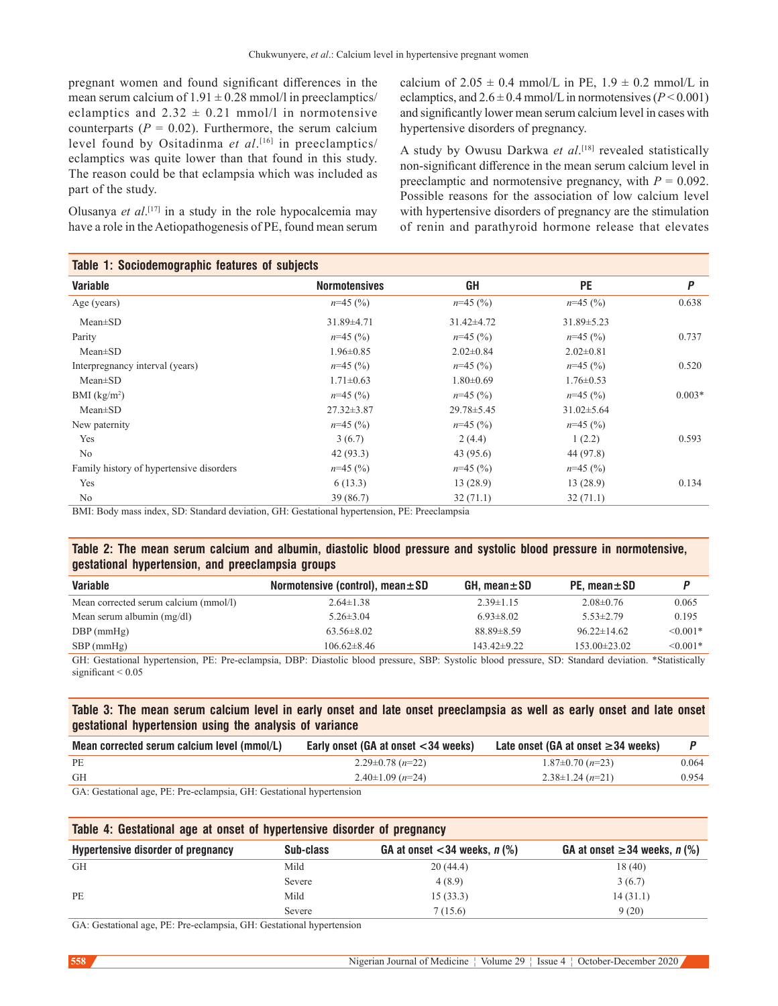pregnant women and found significant differences in the mean serum calcium of  $1.91 \pm 0.28$  mmol/l in preeclamptics/ eclamptics and  $2.32 \pm 0.21$  mmol/l in normotensive counterparts  $(P = 0.02)$ . Furthermore, the serum calcium level found by Ositadinma *et al*. [16] in preeclamptics/ eclamptics was quite lower than that found in this study. The reason could be that eclampsia which was included as part of the study.

Olusanya *et al*. [17] in a study in the role hypocalcemia may have a role in the Aetiopathogenesis of PE, found mean serum

calcium of  $2.05 \pm 0.4$  mmol/L in PE,  $1.9 \pm 0.2$  mmol/L in eclamptics, and  $2.6 \pm 0.4$  mmol/L in normotensives ( $P < 0.001$ ) and significantly lower mean serum calcium level in cases with hypertensive disorders of pregnancy.

A study by Owusu Darkwa *et al*. [18] revealed statistically non‑significant difference in the mean serum calcium level in preeclamptic and normotensive pregnancy, with  $P = 0.092$ . Possible reasons for the association of low calcium level with hypertensive disorders of pregnancy are the stimulation of renin and parathyroid hormone release that elevates

| Table 1: Sociodemographic features of subjects |                      |                  |                  |          |
|------------------------------------------------|----------------------|------------------|------------------|----------|
| <b>Variable</b>                                | <b>Normotensives</b> | GH               | <b>PE</b>        | P        |
| Age (years)                                    | $n=45$ (%)           | $n=45$ (%)       | $n=45$ (%)       | 0.638    |
| $Mean \pm SD$                                  | 31.89±4.71           | $31.42 \pm 4.72$ | $31.89 \pm 5.23$ |          |
| Parity                                         | $n=45$ (%)           | $n=45$ (%)       | $n=45$ (%)       | 0.737    |
| $Mean \pm SD$                                  | $1.96 \pm 0.85$      | $2.02 \pm 0.84$  | $2.02 \pm 0.81$  |          |
| Interpregnancy interval (years)                | $n=45$ (%)           | $n=45$ (%)       | $n=45$ (%)       | 0.520    |
| $Mean \pm SD$                                  | $1.71 \pm 0.63$      | $1.80 \pm 0.69$  | $1.76 \pm 0.53$  |          |
| BMI $(kg/m2)$                                  | $n=45$ (%)           | $n=45$ (%)       | $n=45$ (%)       | $0.003*$ |
| $Mean \pm SD$                                  | $27.32 \pm 3.87$     | $29.78 \pm 5.45$ | $31.02 \pm 5.64$ |          |
| New paternity                                  | $n=45$ (%)           | $n=45$ (%)       | $n=45$ (%)       |          |
| Yes                                            | 3(6.7)               | 2(4.4)           | 1(2.2)           | 0.593    |
| No                                             | 42(93.3)             | 43 (95.6)        | 44 (97.8)        |          |
| Family history of hypertensive disorders       | $n=45$ (%)           | $n=45$ (%)       | $n=45$ (%)       |          |
| Yes                                            | 6(13.3)              | 13(28.9)         | 13(28.9)         | 0.134    |
| No<br>.                                        | 39(86.7)             | 32(71.1)         | 32(71.1)         |          |

BMI: Body mass index, SD: Standard deviation, GH: Gestational hypertension, PE: Preeclampsia

#### **Table 2: The mean serum calcium and albumin, diastolic blood pressure and systolic blood pressure in normotensive, gestational hypertension, and preeclampsia groups**

| Variable                                                                                                                                             | Normotensive (control), mean $\pm$ SD | $GH.$ mean $\pm$ SD | PE. mean $\pm$ SD |               |
|------------------------------------------------------------------------------------------------------------------------------------------------------|---------------------------------------|---------------------|-------------------|---------------|
| Mean corrected serum calcium (mmol/l)                                                                                                                | $2.64 \pm 1.38$                       | $2.39 \pm 1.15$     | $2.08 \pm 0.76$   | 0.065         |
| Mean serum albumin $(mg/dl)$                                                                                                                         | $5.26 \pm 3.04$                       | $6.93 \pm 8.02$     | $5.53 \pm 2.79$   | 0.195         |
| $DBP$ (mmHg)                                                                                                                                         | $63.56 \pm 8.02$                      | $88.89 \pm 8.59$    | $96.22 \pm 14.62$ | $\leq 0.001*$ |
| $SBP$ (mmHg)                                                                                                                                         | $106.62 \pm 8.46$                     | $143.42 \pm 9.22$   | $153.00\pm23.02$  | $\leq 0.001*$ |
| GH: Gestational hypertension, PE: Pre-eclampsia, DBP: Diastolic blood pressure, SBP: Systolic blood pressure, SD: Standard deviation, *Statistically |                                       |                     |                   |               |

GH: Gestational hypertension, PE: Pre-eclampsia, DBP: Diastolic blood pressure, SBP: Systolic blood pressure, SD: Standard deviation. \*Statistically significant  $\leq 0.05$ 

#### **Table 3: The mean serum calcium level in early onset and late onset preeclampsia as well as early onset and late onset gestational hypertension using the analysis of variance**

| Mean corrected serum calcium level (mmol/L)                                                                                                                                                                                                                                 | Early onset (GA at onset $<$ 34 weeks) | Late onset (GA at onset $\geq$ 34 weeks) |       |
|-----------------------------------------------------------------------------------------------------------------------------------------------------------------------------------------------------------------------------------------------------------------------------|----------------------------------------|------------------------------------------|-------|
| PE                                                                                                                                                                                                                                                                          | $2.29\pm0.78$ (n=22)                   | $1.87\pm0.70$ (n=23)                     | 0.064 |
| <b>GH</b>                                                                                                                                                                                                                                                                   | $2.40\pm1.09$ (n=24)                   | $2.38\pm1.24$ (n=21)                     | 0.954 |
| $C_A$ , $C_{i+1}$ , $C_{i+1}$ , $C_{i+1}$ , $C_{i+1}$ , $D_{i+1}$ , $D_{i+1}$ , $D_{i+1}$ , $C_{i+1}$ , $C_{i+1}$ , $C_{i+1}$ , $C_{i+1}$ , $C_{i+1}$ , $C_{i+1}$ , $C_{i+1}$ , $C_{i+1}$ , $C_{i+1}$ , $C_{i+1}$ , $C_{i+1}$ , $C_{i+1}$ , $C_{i+1}$ , $C_{i+1}$ , $C_{i+$ |                                        |                                          |       |

GA: Gestational age, PE: Pre-eclampsia, GH: Gestational hypertension

| Table 4: Gestational age at onset of hypertensive disorder of pregnancy |           |                                                |                                    |
|-------------------------------------------------------------------------|-----------|------------------------------------------------|------------------------------------|
| <b>Hypertensive disorder of pregnancy</b>                               | Sub-class | GA at onset $<$ 34 weeks, n $\left(\% \right)$ | GA at onset $\geq$ 34 weeks, n (%) |
| GH                                                                      | Mild      | 20(44.4)                                       | 18(40)                             |
|                                                                         | Severe    | 4(8.9)                                         | 3(6.7)                             |
| <b>PE</b>                                                               | Mild      | 15(33.3)                                       | 14(31.1)                           |
|                                                                         | Severe    | 7(15.6)                                        | 9(20)                              |

GA: Gestational age, PE: Pre-eclampsia, GH: Gestational hypertension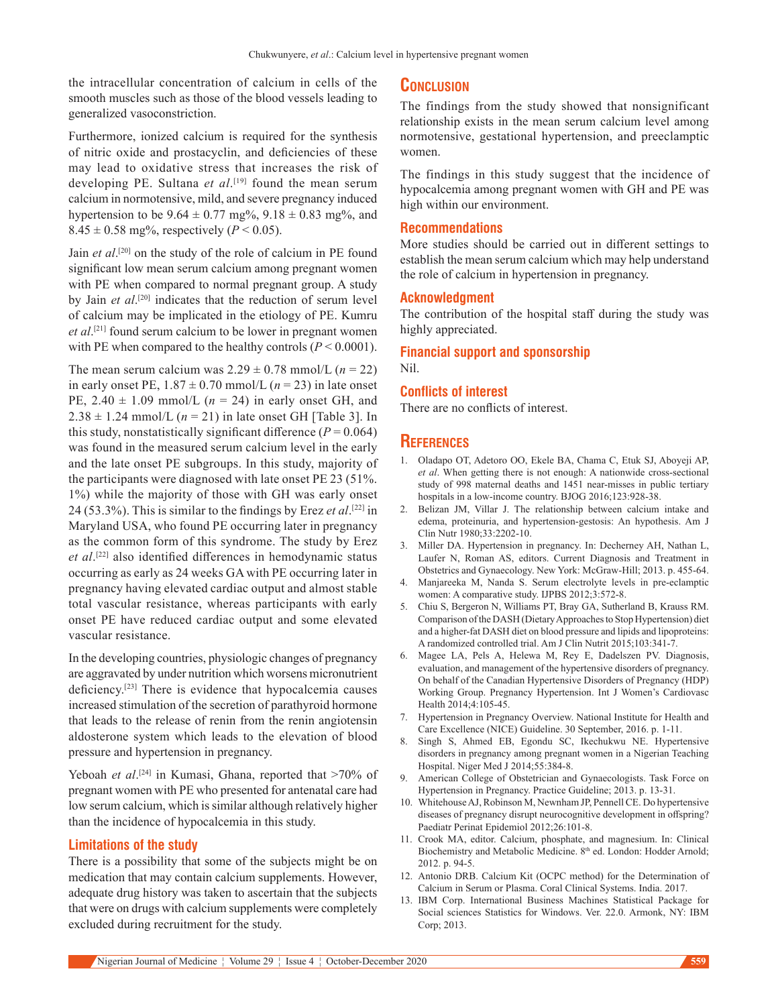the intracellular concentration of calcium in cells of the smooth muscles such as those of the blood vessels leading to generalized vasoconstriction.

Furthermore, ionized calcium is required for the synthesis of nitric oxide and prostacyclin, and deficiencies of these may lead to oxidative stress that increases the risk of developing PE. Sultana *et al*. [19] found the mean serum calcium in normotensive, mild, and severe pregnancy induced hypertension to be  $9.64 \pm 0.77$  mg%,  $9.18 \pm 0.83$  mg%, and  $8.45 \pm 0.58$  mg%, respectively (*P* < 0.05).

Jain *et al*. [20] on the study of the role of calcium in PE found significant low mean serum calcium among pregnant women with PE when compared to normal pregnant group. A study by Jain *et al*. [20] indicates that the reduction of serum level of calcium may be implicated in the etiology of PE. Kumru *et al*. [21] found serum calcium to be lower in pregnant women with PE when compared to the healthy controls (*P* < 0.0001).

The mean serum calcium was  $2.29 \pm 0.78$  mmol/L ( $n = 22$ ) in early onset PE,  $1.87 \pm 0.70$  mmol/L ( $n = 23$ ) in late onset PE,  $2.40 \pm 1.09$  mmol/L ( $n = 24$ ) in early onset GH, and  $2.38 \pm 1.24$  mmol/L ( $n = 21$ ) in late onset GH [Table 3]. In this study, nonstatistically significant difference  $(P = 0.064)$ was found in the measured serum calcium level in the early and the late onset PE subgroups. In this study, majority of the participants were diagnosed with late onset PE 23 (51%. 1%) while the majority of those with GH was early onset 24 (53.3%). This is similar to the findings by Erez *et al*. [22] in Maryland USA, who found PE occurring later in pregnancy as the common form of this syndrome. The study by Erez *et al*. [22] also identified differences in hemodynamic status occurring as early as 24 weeks GA with PE occurring later in pregnancy having elevated cardiac output and almost stable total vascular resistance, whereas participants with early onset PE have reduced cardiac output and some elevated vascular resistance.

In the developing countries, physiologic changes of pregnancy are aggravated by under nutrition which worsens micronutrient deficiency.[23] There is evidence that hypocalcemia causes increased stimulation of the secretion of parathyroid hormone that leads to the release of renin from the renin angiotensin aldosterone system which leads to the elevation of blood pressure and hypertension in pregnancy.

Yeboah *et al*.<sup>[24]</sup> in Kumasi, Ghana, reported that >70% of pregnant women with PE who presented for antenatal care had low serum calcium, which is similar although relatively higher than the incidence of hypocalcemia in this study.

#### **Limitations of the study**

There is a possibility that some of the subjects might be on medication that may contain calcium supplements. However, adequate drug history was taken to ascertain that the subjects that were on drugs with calcium supplements were completely excluded during recruitment for the study.

#### **Conclusion**

The findings from the study showed that nonsignificant relationship exists in the mean serum calcium level among normotensive, gestational hypertension, and preeclamptic women.

The findings in this study suggest that the incidence of hypocalcemia among pregnant women with GH and PE was high within our environment.

#### **Recommendations**

More studies should be carried out in different settings to establish the mean serum calcium which may help understand the role of calcium in hypertension in pregnancy.

#### **Acknowledgment**

The contribution of the hospital staff during the study was highly appreciated.

# **Financial support and sponsorship**

Nil.

#### **Conflicts of interest**

There are no conflicts of interest.

#### **References**

- 1. Oladapo OT, Adetoro OO, Ekele BA, Chama C, Etuk SJ, Aboyeji AP, *et al*. When getting there is not enough: A nationwide cross‑sectional study of 998 maternal deaths and 1451 near-misses in public tertiary hospitals in a low-income country. BJOG 2016;123:928-38.
- 2. Belizan JM, Villar J. The relationship between calcium intake and edema, proteinuria, and hypertension‑gestosis: An hypothesis. Am J Clin Nutr 1980;33:2202‑10.
- 3. Miller DA. Hypertension in pregnancy. In: Decherney AH, Nathan L, Laufer N, Roman AS, editors. Current Diagnosis and Treatment in Obstetrics and Gynaecology. New York: McGraw‑Hill; 2013. p. 455‑64.
- 4. Manjareeka M, Nanda S. Serum electrolyte levels in pre‑eclamptic women: A comparative study. IJPBS 2012;3:572‑8.
- 5. Chiu S, Bergeron N, Williams PT, Bray GA, Sutherland B, Krauss RM. Comparison of the DASH (Dietary Approaches to Stop Hypertension) diet and a higher-fat DASH diet on blood pressure and lipids and lipoproteins: A randomized controlled trial. Am J Clin Nutrit 2015;103:341‑7.
- 6. Magee LA, Pels A, Helewa M, Rey E, Dadelszen PV. Diagnosis, evaluation, and management of the hypertensive disorders of pregnancy. On behalf of the Canadian Hypertensive Disorders of Pregnancy (HDP) Working Group. Pregnancy Hypertension. Int J Women's Cardiovasc Health 2014;4:105-45.
- 7. Hypertension in Pregnancy Overview. National Institute for Health and Care Excellence (NICE) Guideline. 30 September, 2016. p. 1‑11.
- 8. Singh S, Ahmed EB, Egondu SC, Ikechukwu NE. Hypertensive disorders in pregnancy among pregnant women in a Nigerian Teaching Hospital. Niger Med J 2014;55:384‑8.
- 9. American College of Obstetrician and Gynaecologists. Task Force on Hypertension in Pregnancy. Practice Guideline; 2013. p. 13‑31.
- 10. WhitehouseAJ, Robinson M, Newnham JP, Pennell CE. Do hypertensive diseases of pregnancy disrupt neurocognitive development in offspring? Paediatr Perinat Epidemiol 2012;26:101‑8.
- 11. Crook MA, editor. Calcium, phosphate, and magnesium. In: Clinical Biochemistry and Metabolic Medicine. 8<sup>th</sup> ed. London: Hodder Arnold; 2012. p. 94‑5.
- 12. Antonio DRB. Calcium Kit (OCPC method) for the Determination of Calcium in Serum or Plasma. Coral Clinical Systems. India. 2017.
- 13. IBM Corp. International Business Machines Statistical Package for Social sciences Statistics for Windows. Ver. 22.0. Armonk, NY: IBM Corp; 2013.